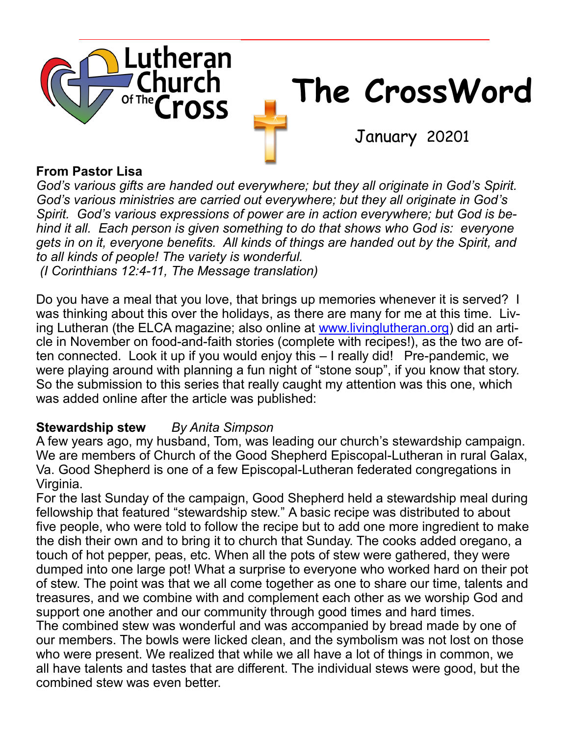

#### **From Pastor Lisa**

*God's various gifts are handed out everywhere; but they all originate in God's Spirit. God's various ministries are carried out everywhere; but they all originate in God's Spirit. God's various expressions of power are in action everywhere; but God is behind it all. Each person is given something to do that shows who God is: everyone gets in on it, everyone benefits. All kinds of things are handed out by the Spirit, and to all kinds of people! The variety is wonderful. (I Corinthians 12:4-11, The Message translation)*

Do you have a meal that you love, that brings up memories whenever it is served? I was thinking about this over the holidays, as there are many for me at this time. Living Lutheran (the ELCA magazine; also online at [www.livinglutheran.org\)](http://www.livinglutheran.org) did an article in November on food-and-faith stories (complete with recipes!), as the two are often connected. Look it up if you would enjoy this – I really did! Pre-pandemic, we were playing around with planning a fun night of "stone soup", if you know that story. So the submission to this series that really caught my attention was this one, which was added online after the article was published:

#### **Stewardship stew** *By Anita Simpson*

A few years ago, my husband, Tom, was leading our church's stewardship campaign. We are members of Church of the Good Shepherd Episcopal-Lutheran in rural Galax, Va. Good Shepherd is one of a few Episcopal-Lutheran federated congregations in Virginia.

For the last Sunday of the campaign, Good Shepherd held a stewardship meal during fellowship that featured "stewardship stew." A basic recipe was distributed to about five people, who were told to follow the recipe but to add one more ingredient to make the dish their own and to bring it to church that Sunday. The cooks added oregano, a touch of hot pepper, peas, etc. When all the pots of stew were gathered, they were dumped into one large pot! What a surprise to everyone who worked hard on their pot of stew. The point was that we all come together as one to share our time, talents and treasures, and we combine with and complement each other as we worship God and support one another and our community through good times and hard times. The combined stew was wonderful and was accompanied by bread made by one of our members. The bowls were licked clean, and the symbolism was not lost on those who were present. We realized that while we all have a lot of things in common, we all have talents and tastes that are different. The individual stews were good, but the combined stew was even better.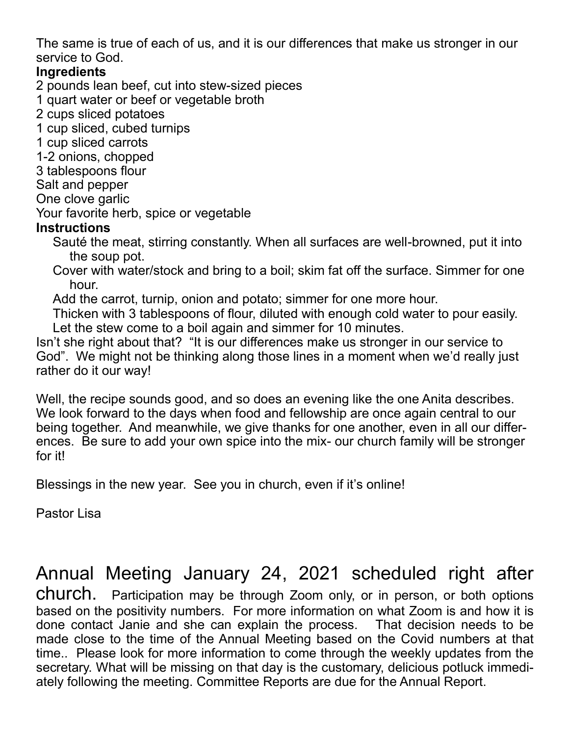The same is true of each of us, and it is our differences that make us stronger in our service to God.

#### **Ingredients**

2 pounds lean beef, cut into stew-sized pieces

- 1 quart water or beef or vegetable broth
- 2 cups sliced potatoes
- 1 cup sliced, cubed turnips
- 1 cup sliced carrots
- 1-2 onions, chopped
- 3 tablespoons flour
- Salt and pepper
- One clove garlic
- Your favorite herb, spice or vegetable

#### **Instructions**

- Sauté the meat, stirring constantly. When all surfaces are well-browned, put it into the soup pot.
- Cover with water/stock and bring to a boil; skim fat off the surface. Simmer for one hour.
- Add the carrot, turnip, onion and potato; simmer for one more hour.
- Thicken with 3 tablespoons of flour, diluted with enough cold water to pour easily. Let the stew come to a boil again and simmer for 10 minutes.

Isn't she right about that? "It is our differences make us stronger in our service to God". We might not be thinking along those lines in a moment when we'd really just rather do it our way!

Well, the recipe sounds good, and so does an evening like the one Anita describes. We look forward to the days when food and fellowship are once again central to our being together. And meanwhile, we give thanks for one another, even in all our differences. Be sure to add your own spice into the mix- our church family will be stronger for it!

Blessings in the new year. See you in church, even if it's online!

Pastor Lisa

### Annual Meeting January 24, 2021 scheduled right after

church. Participation may be through Zoom only, or in person, or both options based on the positivity numbers. For more information on what Zoom is and how it is done contact Janie and she can explain the process. That decision needs to be made close to the time of the Annual Meeting based on the Covid numbers at that time.. Please look for more information to come through the weekly updates from the secretary. What will be missing on that day is the customary, delicious potluck immediately following the meeting. Committee Reports are due for the Annual Report.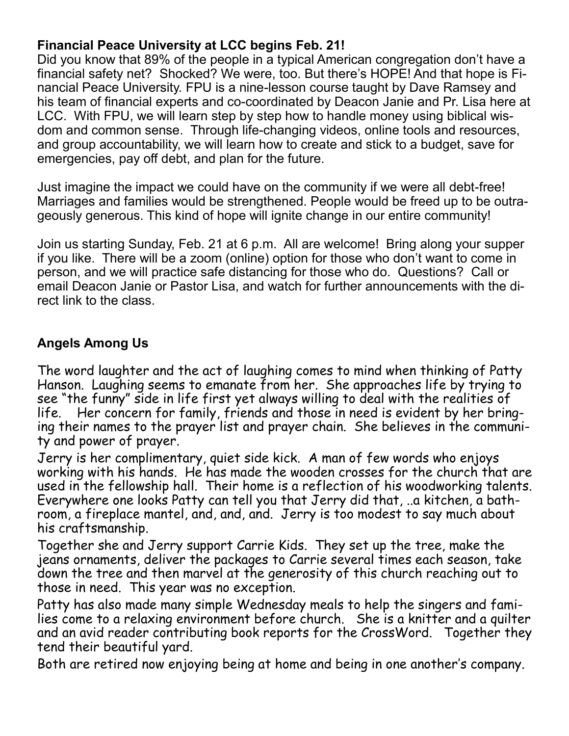#### **Financial Peace University at LCC begins Feb. 21!**

Did you know that 89% of the people in a typical American congregation don't have a financial safety net? Shocked? We were, too. But there's HOPE! And that hope is Financial Peace University. FPU is a nine-lesson course taught by Dave Ramsey and his team of financial experts and co-coordinated by Deacon Janie and Pr. Lisa here at LCC. With FPU, we will learn step by step how to handle money using biblical wisdom and common sense. Through life-changing videos, online tools and resources, and group accountability, we will learn how to create and stick to a budget, save for emergencies, pay off debt, and plan for the future.

Just imagine the impact we could have on the community if we were all debt-free! Marriages and families would be strengthened. People would be freed up to be outrageously generous. This kind of hope will ignite change in our entire community!

Join us starting Sunday, Feb. 21 at 6 p.m. All are welcome! Bring along your supper if you like. There will be a zoom (online) option for those who don't want to come in person, and we will practice safe distancing for those who do. Questions? Call or email Deacon Janie or Pastor Lisa, and watch for further announcements with the direct link to the class.

#### **Angels Among Us**

The word laughter and the act of laughing comes to mind when thinking of Patty Hanson. Laughing seems to emanate from her. She approaches life by trying to see "the funny" side in life first yet always willing to deal with the realities of life. Her concern for family, friends and those in need is evident by her bringing their names to the prayer list and prayer chain. She believes in the community and power of prayer.

Jerry is her complimentary, quiet side kick. A man of few words who enjoys working with his hands. He has made the wooden crosses for the church that are used in the fellowship hall. Their home is a reflection of his woodworking talents. Everywhere one looks Patty can tell you that Jerry did that, ..a kitchen, a bathroom, a fireplace mantel, and, and, and. Jerry is too modest to say much about his craftsmanship.

Together she and Jerry support Carrie Kids. They set up the tree, make the jeans ornaments, deliver the packages to Carrie several times each season, take down the tree and then marvel at the generosity of this church reaching out to those in need. This year was no exception.

Patty has also made many simple Wednesday meals to help the singers and families come to a relaxing environment before church. She is a knitter and a quilter and an avid reader contributing book reports for the CrossWord. Together they tend their beautiful yard.

Both are retired now enjoying being at home and being in one another's company.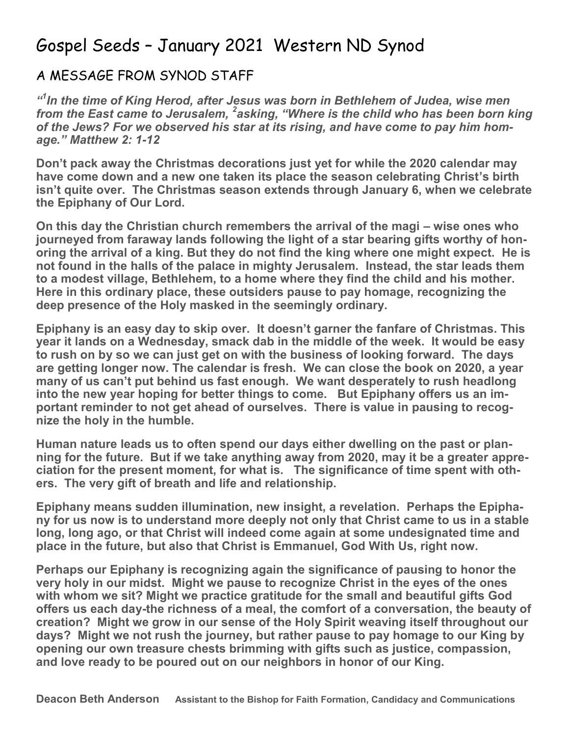### Gospel Seeds – January 2021 Western ND Synod

#### A MESSAGE FROM SYNOD STAFF

*" 1 In the time of King Herod, after Jesus was born in Bethlehem of Judea, wise men from the East came to Jerusalem, <sup>2</sup> asking, "Where is the child who has been born king of the Jews? For we observed his star at its rising, and have come to pay him homage." Matthew 2: 1-12*

**Don't pack away the Christmas decorations just yet for while the 2020 calendar may have come down and a new one taken its place the season celebrating Christ's birth isn't quite over. The Christmas season extends through January 6, when we celebrate the Epiphany of Our Lord.**

**On this day the Christian church remembers the arrival of the magi – wise ones who journeyed from faraway lands following the light of a star bearing gifts worthy of honoring the arrival of a king. But they do not find the king where one might expect. He is not found in the halls of the palace in mighty Jerusalem. Instead, the star leads them to a modest village, Bethlehem, to a home where they find the child and his mother. Here in this ordinary place, these outsiders pause to pay homage, recognizing the deep presence of the Holy masked in the seemingly ordinary.**

**Epiphany is an easy day to skip over. It doesn't garner the fanfare of Christmas. This year it lands on a Wednesday, smack dab in the middle of the week. It would be easy to rush on by so we can just get on with the business of looking forward. The days are getting longer now. The calendar is fresh. We can close the book on 2020, a year many of us can't put behind us fast enough. We want desperately to rush headlong into the new year hoping for better things to come. But Epiphany offers us an important reminder to not get ahead of ourselves. There is value in pausing to recognize the holy in the humble.**

**Human nature leads us to often spend our days either dwelling on the past or planning for the future. But if we take anything away from 2020, may it be a greater appreciation for the present moment, for what is. The significance of time spent with others. The very gift of breath and life and relationship.**

**Epiphany means sudden illumination, new insight, a revelation. Perhaps the Epiphany for us now is to understand more deeply not only that Christ came to us in a stable long, long ago, or that Christ will indeed come again at some undesignated time and place in the future, but also that Christ is Emmanuel, God With Us, right now.**

**Perhaps our Epiphany is recognizing again the significance of pausing to honor the very holy in our midst. Might we pause to recognize Christ in the eyes of the ones with whom we sit? Might we practice gratitude for the small and beautiful gifts God offers us each day-the richness of a meal, the comfort of a conversation, the beauty of creation? Might we grow in our sense of the Holy Spirit weaving itself throughout our days? Might we not rush the journey, but rather pause to pay homage to our King by opening our own treasure chests brimming with gifts such as justice, compassion, and love ready to be poured out on our neighbors in honor of our King.**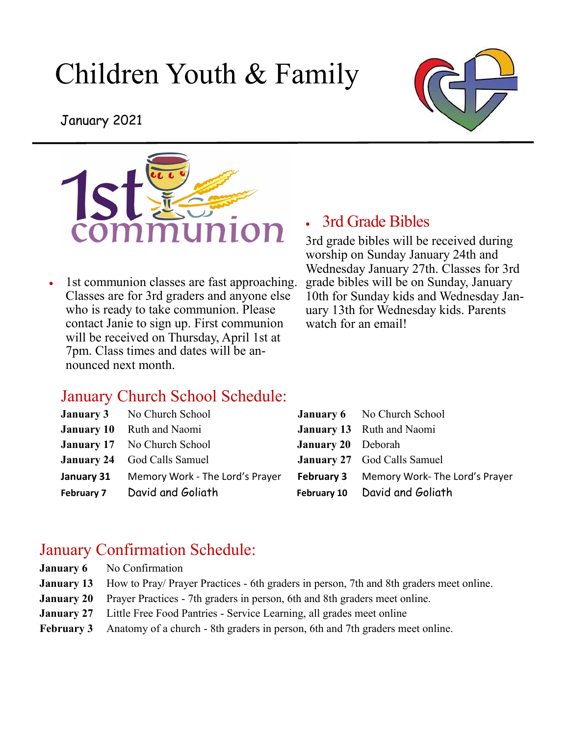# Children Youth & Family



January 2021



• 1st communion classes are fast approaching. Classes are for 3rd graders and anyone else who is ready to take communion. Please contact Janie to sign up. First communion will be received on Thursday, April 1st at 7pm. Class times and dates will be announced next month.

#### • 3rd Grade Bibles

3rd grade bibles will be received during worship on Sunday January 24th and Wednesday January 27th. Classes for 3rd grade bibles will be on Sunday, January 10th for Sunday kids and Wednesday January 13th for Wednesday kids. Parents watch for an email!

#### January Church School Schedule:

| <b>January 3</b> No Church School          |                           | <b>January 6</b> No Church School               |
|--------------------------------------------|---------------------------|-------------------------------------------------|
| <b>January 10</b> Ruth and Naomi           |                           | <b>January 13</b> Ruth and Naomi                |
| <b>January 17</b> No Church School         | <b>January 20</b> Deborah |                                                 |
| <b>January 24</b> God Calls Samuel         |                           | <b>January 27</b> God Calls Samuel              |
| January 31 Memory Work - The Lord's Prayer |                           | <b>February 3</b> Memory Work-The Lord's Prayer |
| February 7 David and Goliath               |                           | February 10 David and Goliath                   |
|                                            |                           |                                                 |

#### January Confirmation Schedule:

- **January 6** No Confirmation
- **January 13** How to Pray/ Prayer Practices 6th graders in person, 7th and 8th graders meet online.
- **January 20** Prayer Practices 7th graders in person, 6th and 8th graders meet online.
- **January 27** Little Free Food Pantries Service Learning, all grades meet online
- **February 3** Anatomy of a church 8th graders in person, 6th and 7th graders meet online.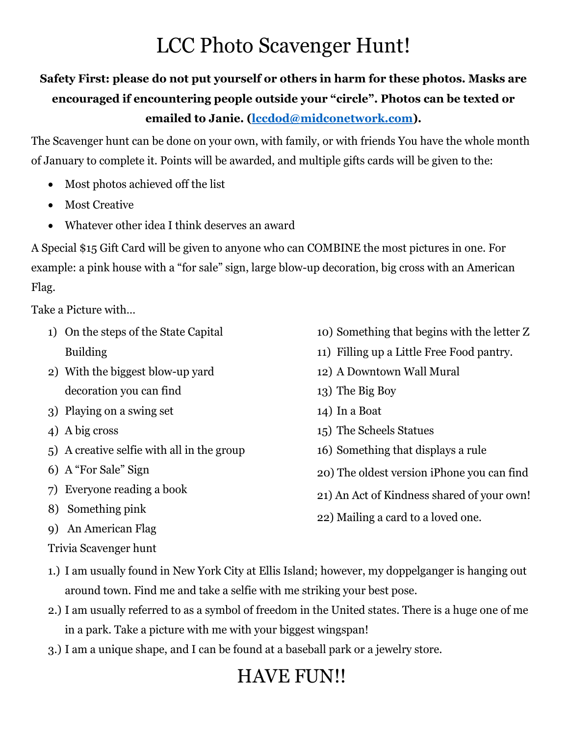## LCC Photo Scavenger Hunt!

## **Safety First: please do not put yourself or others in harm for these photos. Masks are encouraged if encountering people outside your "circle". Photos can be texted or emailed to Janie. (lccdod@midconetwork.com).**

The Scavenger hunt can be done on your own, with family, or with friends You have the whole month of January to complete it. Points will be awarded, and multiple gifts cards will be given to the:

- Most photos achieved off the list
- Most Creative
- Whatever other idea I think deserves an award

A Special \$15 Gift Card will be given to anyone who can COMBINE the most pictures in one. For example: a pink house with a "for sale" sign, large blow-up decoration, big cross with an American Flag.

Take a Picture with…

- 1) On the steps of the State Capital Building
- 2) With the biggest blow-up yard decoration you can find
- 3) Playing on a swing set
- 4) A big cross
- 5) A creative selfie with all in the group
- 6) A "For Sale" Sign
- 7) Everyone reading a book
- 8) Something pink
- 9) An American Flag
- 
- 10) Something that begins with the letter Z
- 11) Filling up a Little Free Food pantry. 12) A Downtown Wall Mural
- 
- 13) The Big Boy
- 14) In a Boat
- 
- 15) The Scheels Statues 16) Something that displays a rule
- 20) The oldest version iPhone you can find
- 21) An Act of Kindness shared of your own!
- 
- 22) Mailing a card to a loved one.<br>
9) An American Flag<br>
Trivia Scavenger hunt<br>
1.) I am usually found in New York City at Ellis Island; however, my doppelganger is hanging out<br>
around town. Find me and take a selfie with
- 2.) I am usually referred to as a symbol of freedom in the United states. There is a huge one of me
- in a park. Take a picture with me with your biggest wingspan! 3.) I am a unique shape, and I can be found at a baseball park or a jewelry store.

## HAVE FUN!!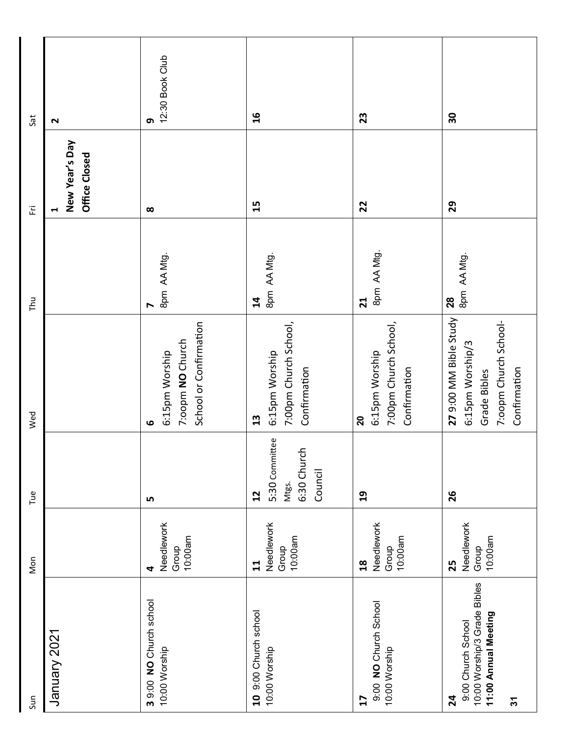| Sun                                                                                                | Non                                              | Tue                                                               | Wed                                                                                                 | <b>Thu</b>                             | 匞                                                        | Sat                  |
|----------------------------------------------------------------------------------------------------|--------------------------------------------------|-------------------------------------------------------------------|-----------------------------------------------------------------------------------------------------|----------------------------------------|----------------------------------------------------------|----------------------|
| January 2021                                                                                       |                                                  |                                                                   |                                                                                                     |                                        | New Year's Day<br>Office Closed<br>$\blacktriangleright$ | $\sim$               |
| 3 9:00 NO Church school<br>10:00 Worship                                                           | Needlework<br>10:00am<br>Group<br>4              | LN.                                                               | School or Confirmation<br>7:00pm NO Church<br>6:15pm Worship<br>$\bullet$                           | 8pm AA Mtg.<br>$\blacktriangleright$   | $\infty$                                                 | 12:30 Book Club<br>თ |
| 10 9:00 Church school<br>10:00 Worship                                                             | Needlework<br>$10:00$ am<br>Group<br>11          | 5:30 Committee<br>6:30 Church<br>Council<br>Mtgs.<br>$\mathbf{c}$ | 7:00pm Church School,<br>6:15pm Worship<br>Confirmation<br>13                                       | 8pm AA Mtg.<br>$\overline{\mathbf{1}}$ | 15                                                       | $\overline{16}$      |
| 9:00 NO Church School<br>10:00 Worship<br>17                                                       | Needlework<br>10:00am<br>Group<br>$\frac{8}{10}$ | $\mathbf{a}$                                                      | 7:00pm Church School,<br>6:15pm Worship<br>Confirmation<br>$\overline{\mathbf{S}}$                  | 8pm AA Mtg.<br>21                      | 22                                                       | 23                   |
| 10:00 Worship/3 Grade Bibles<br>11:00 Annual Meeting<br>9:00 Church School<br>24<br>$\mathfrak{L}$ | Needlework<br>10:00am<br>Group<br>25             | 26                                                                | 27 9:00 MM Bible Study<br>7:oopm Church School-<br>6:15pm Worship/3<br>Confirmation<br>Grade Bibles | 8pm AA Mtg.<br>28                      | 29                                                       | 50                   |